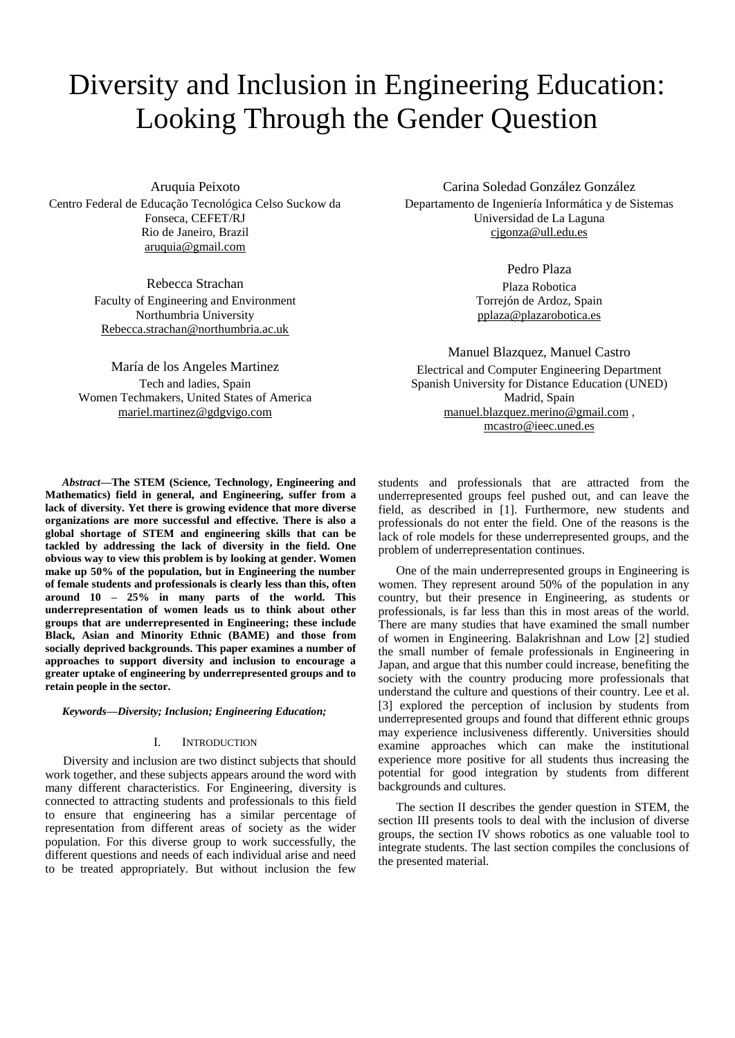# Diversity and Inclusion in Engineering Education: Looking Through the Gender Question

Aruquia Peixoto Centro Federal de Educação Tecnológica Celso Suckow da Fonseca, CEFET/RJ Rio de Janeiro, Brazil [aruquia@gmail.com](mailto:aruquia@gmail.com)

> Rebecca Strachan Faculty of Engineering and Environment Northumbria University [Rebecca.strachan@northumbria.ac.uk](mailto:Rebecca.strachan@northumbria.ac.uk)

María de los Angeles Martinez Tech and ladies, Spain Women Techmakers, United States of America [mariel.martinez@gdgvigo.com](mailto:mariel.martinez@gdgvigo.com)

*Abstract***—The STEM (Science, Technology, Engineering and Mathematics) field in general, and Engineering, suffer from a lack of diversity. Yet there is growing evidence that more diverse organizations are more successful and effective. There is also a global shortage of STEM and engineering skills that can be tackled by addressing the lack of diversity in the field. One obvious way to view this problem is by looking at gender. Women make up 50% of the population, but in Engineering the number of female students and professionals is clearly less than this, often around 10 – 25% in many parts of the world. This underrepresentation of women leads us to think about other groups that are underrepresented in Engineering; these include Black, Asian and Minority Ethnic (BAME) and those from socially deprived backgrounds. This paper examines a number of approaches to support diversity and inclusion to encourage a greater uptake of engineering by underrepresented groups and to retain people in the sector.**

*Keywords—Diversity; Inclusion; Engineering Education;*

## I. INTRODUCTION

Diversity and inclusion are two distinct subjects that should work together, and these subjects appears around the word with many different characteristics. For Engineering, diversity is connected to attracting students and professionals to this field to ensure that engineering has a similar percentage of representation from different areas of society as the wider population. For this diverse group to work successfully, the different questions and needs of each individual arise and need to be treated appropriately. But without inclusion the few

Carina Soledad González González Departamento de Ingeniería Informática y de Sistemas Universidad de La Laguna [cjgonza@ull.edu.es](mailto:cjgonza@ull.edu.es)

> Pedro Plaza Plaza Robotica Torrejón de Ardoz, Spain [pplaza@plazarobotica.es](mailto:pplaza@plazarobotica.es)

Manuel Blazquez, Manuel Castro Electrical and Computer Engineering Department Spanish University for Distance Education (UNED) Madrid, Spain [manuel.blazquez.merino@gmail.com](mailto:manuel.blazquez.merino@gmail.com) , [mcastro@ieec.uned.es](mailto:mcastro@ieec.uned.es)

students and professionals that are attracted from the underrepresented groups feel pushed out, and can leave the field, as described in [1]. Furthermore, new students and professionals do not enter the field. One of the reasons is the lack of role models for these underrepresented groups, and the problem of underrepresentation continues.

One of the main underrepresented groups in Engineering is women. They represent around 50% of the population in any country, but their presence in Engineering, as students or professionals, is far less than this in most areas of the world. There are many studies that have examined the small number of women in Engineering. Balakrishnan and Low [2] studied the small number of female professionals in Engineering in Japan, and argue that this number could increase, benefiting the society with the country producing more professionals that understand the culture and questions of their country. Lee et al. [3] explored the perception of inclusion by students from underrepresented groups and found that different ethnic groups may experience inclusiveness differently. Universities should examine approaches which can make the institutional experience more positive for all students thus increasing the potential for good integration by students from different backgrounds and cultures.

The section II describes the gender question in STEM, the section III presents tools to deal with the inclusion of diverse groups, the section IV shows robotics as one valuable tool to integrate students. The last section compiles the conclusions of the presented material.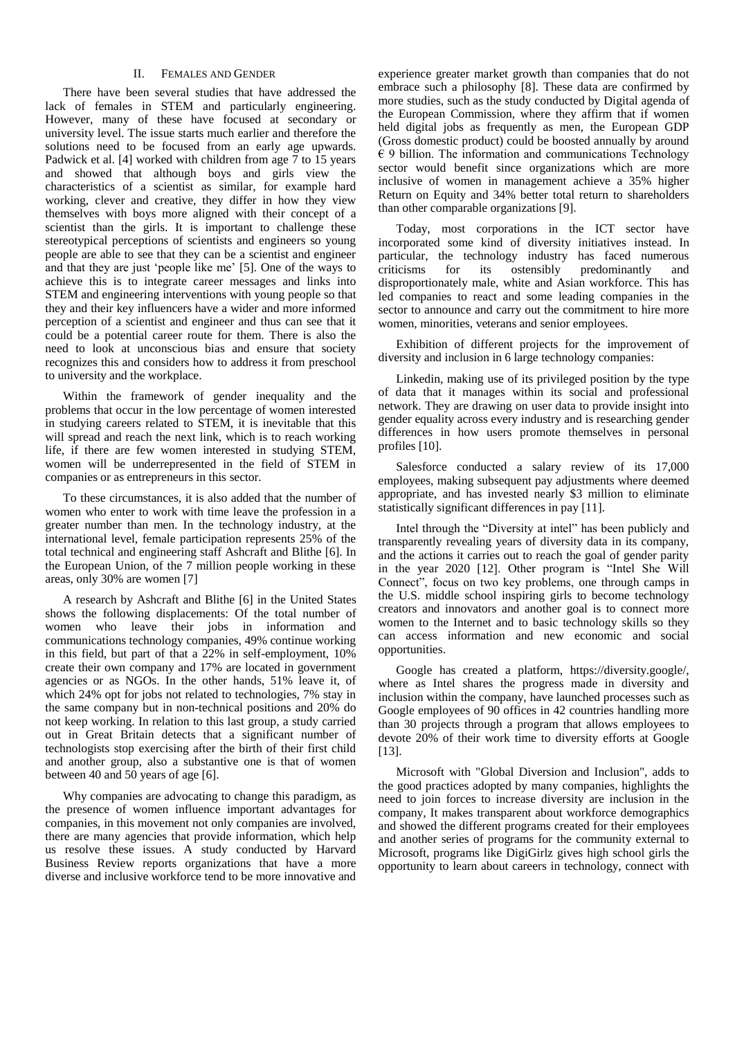#### II. FEMALES AND GENDER

There have been several studies that have addressed the lack of females in STEM and particularly engineering. However, many of these have focused at secondary or university level. The issue starts much earlier and therefore the solutions need to be focused from an early age upwards. Padwick et al. [4] worked with children from age  $\overline{7}$  to 15 years and showed that although boys and girls view the characteristics of a scientist as similar, for example hard working, clever and creative, they differ in how they view themselves with boys more aligned with their concept of a scientist than the girls. It is important to challenge these stereotypical perceptions of scientists and engineers so young people are able to see that they can be a scientist and engineer and that they are just 'people like me' [5]. One of the ways to achieve this is to integrate career messages and links into STEM and engineering interventions with young people so that they and their key influencers have a wider and more informed perception of a scientist and engineer and thus can see that it could be a potential career route for them. There is also the need to look at unconscious bias and ensure that society recognizes this and considers how to address it from preschool to university and the workplace.

Within the framework of gender inequality and the problems that occur in the low percentage of women interested in studying careers related to STEM, it is inevitable that this will spread and reach the next link, which is to reach working life, if there are few women interested in studying STEM, women will be underrepresented in the field of STEM in companies or as entrepreneurs in this sector.

To these circumstances, it is also added that the number of women who enter to work with time leave the profession in a greater number than men. In the technology industry, at the international level, female participation represents 25% of the total technical and engineering staff Ashcraft and Blithe [6]. In the European Union, of the 7 million people working in these areas, only 30% are women [7]

A research by Ashcraft and Blithe [6] in the United States shows the following displacements: Of the total number of women who leave their jobs in information and communications technology companies, 49% continue working in this field, but part of that a 22% in self-employment, 10% create their own company and 17% are located in government agencies or as NGOs. In the other hands, 51% leave it, of which 24% opt for jobs not related to technologies, 7% stay in the same company but in non-technical positions and 20% do not keep working. In relation to this last group, a study carried out in Great Britain detects that a significant number of technologists stop exercising after the birth of their first child and another group, also a substantive one is that of women between 40 and 50 years of age [6].

Why companies are advocating to change this paradigm, as the presence of women influence important advantages for companies, in this movement not only companies are involved, there are many agencies that provide information, which help us resolve these issues. A study conducted by Harvard Business Review reports organizations that have a more diverse and inclusive workforce tend to be more innovative and

experience greater market growth than companies that do not embrace such a philosophy [8]. These data are confirmed by more studies, such as the study conducted by Digital agenda of the European Commission, where they affirm that if women held digital jobs as frequently as men, the European GDP (Gross domestic product) could be boosted annually by around  $\epsilon$  9 billion. The information and communications Technology sector would benefit since organizations which are more inclusive of women in management achieve a 35% higher Return on Equity and 34% better total return to shareholders than other comparable organizations [9].

Today, most corporations in the ICT sector have incorporated some kind of diversity initiatives instead. In particular, the technology industry has faced numerous criticisms for its ostensibly predominantly and disproportionately male, white and Asian workforce. This has led companies to react and some leading companies in the sector to announce and carry out the commitment to hire more women, minorities, veterans and senior employees.

Exhibition of different projects for the improvement of diversity and inclusion in 6 large technology companies:

Linkedin, making use of its privileged position by the type of data that it manages within its social and professional network. They are drawing on user data to provide insight into gender equality across every industry and is researching gender differences in how users promote themselves in personal profiles [10].

Salesforce conducted a salary review of its 17,000 employees, making subsequent pay adjustments where deemed appropriate, and has invested nearly \$3 million to eliminate statistically significant differences in pay [11].

Intel through the "Diversity at intel" has been publicly and transparently revealing years of diversity data in its company, and the actions it carries out to reach the goal of gender parity in the year 2020 [12]. Other program is "Intel She Will Connect", focus on two key problems, one through camps in the U.S. middle school inspiring girls to become technology creators and innovators and another goal is to connect more women to the Internet and to basic technology skills so they can access information and new economic and social opportunities.

Google has created a platform, https://diversity.google/, where as Intel shares the progress made in diversity and inclusion within the company, have launched processes such as Google employees of 90 offices in 42 countries handling more than 30 projects through a program that allows employees to devote 20% of their work time to diversity efforts at Google [13].

Microsoft with "Global Diversion and Inclusion", adds to the good practices adopted by many companies, highlights the need to join forces to increase diversity are inclusion in the company, It makes transparent about workforce demographics and showed the different programs created for their employees and another series of programs for the community external to Microsoft, programs like DigiGirlz gives high school girls the opportunity to learn about careers in technology, connect with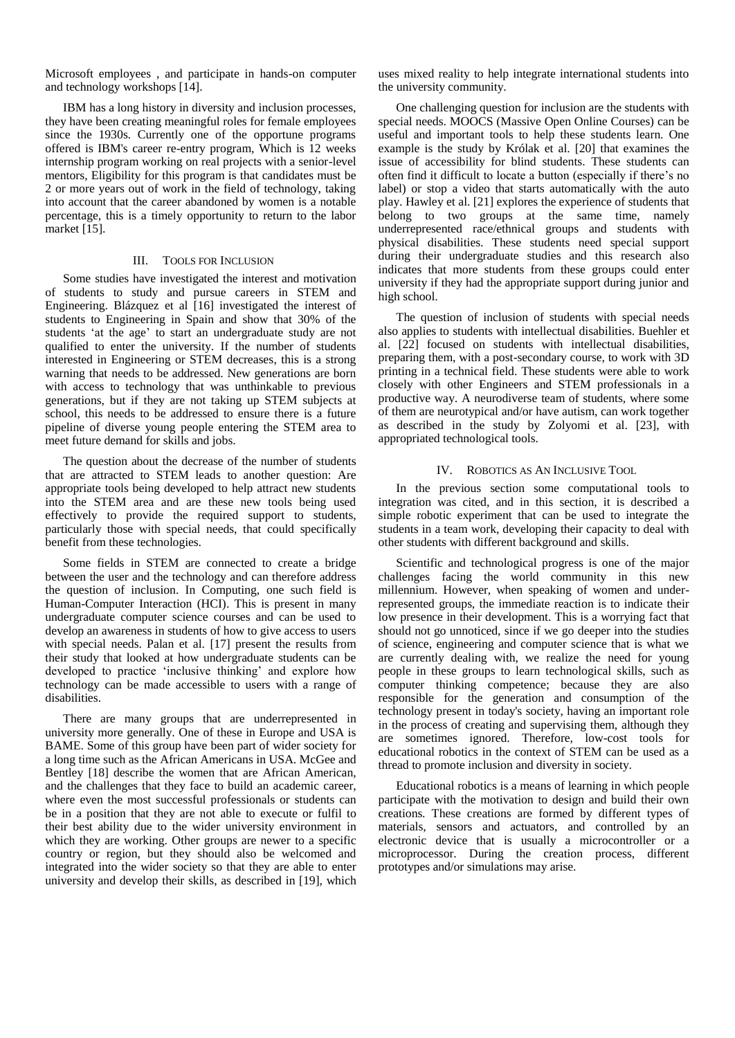Microsoft employees , and participate in hands-on computer and technology workshops [14].

IBM has a long history in diversity and inclusion processes, they have been creating meaningful roles for female employees since the 1930s. Currently one of the opportune programs offered is IBM's career re-entry program, Which is 12 weeks internship program working on real projects with a senior-level mentors, Eligibility for this program is that candidates must be 2 or more years out of work in the field of technology, taking into account that the career abandoned by women is a notable percentage, this is a timely opportunity to return to the labor market [15].

### III. TOOLS FOR INCLUSION

Some studies have investigated the interest and motivation of students to study and pursue careers in STEM and Engineering. Blázquez et al [16] investigated the interest of students to Engineering in Spain and show that 30% of the students 'at the age' to start an undergraduate study are not qualified to enter the university. If the number of students interested in Engineering or STEM decreases, this is a strong warning that needs to be addressed. New generations are born with access to technology that was unthinkable to previous generations, but if they are not taking up STEM subjects at school, this needs to be addressed to ensure there is a future pipeline of diverse young people entering the STEM area to meet future demand for skills and jobs.

The question about the decrease of the number of students that are attracted to STEM leads to another question: Are appropriate tools being developed to help attract new students into the STEM area and are these new tools being used effectively to provide the required support to students, particularly those with special needs, that could specifically benefit from these technologies.

Some fields in STEM are connected to create a bridge between the user and the technology and can therefore address the question of inclusion. In Computing, one such field is Human-Computer Interaction (HCI). This is present in many undergraduate computer science courses and can be used to develop an awareness in students of how to give access to users with special needs. Palan et al. [17] present the results from their study that looked at how undergraduate students can be developed to practice 'inclusive thinking' and explore how technology can be made accessible to users with a range of disabilities.

There are many groups that are underrepresented in university more generally. One of these in Europe and USA is BAME. Some of this group have been part of wider society for a long time such as the African Americans in USA. McGee and Bentley [18] describe the women that are African American, and the challenges that they face to build an academic career, where even the most successful professionals or students can be in a position that they are not able to execute or fulfil to their best ability due to the wider university environment in which they are working. Other groups are newer to a specific country or region, but they should also be welcomed and integrated into the wider society so that they are able to enter university and develop their skills, as described in [19], which uses mixed reality to help integrate international students into the university community.

One challenging question for inclusion are the students with special needs. MOOCS (Massive Open Online Courses) can be useful and important tools to help these students learn. One example is the study by Królak et al. [20] that examines the issue of accessibility for blind students. These students can often find it difficult to locate a button (especially if there's no label) or stop a video that starts automatically with the auto play. Hawley et al. [21] explores the experience of students that belong to two groups at the same time, namely underrepresented race/ethnical groups and students with physical disabilities. These students need special support during their undergraduate studies and this research also indicates that more students from these groups could enter university if they had the appropriate support during junior and high school.

The question of inclusion of students with special needs also applies to students with intellectual disabilities. Buehler et al. [22] focused on students with intellectual disabilities, preparing them, with a post-secondary course, to work with 3D printing in a technical field. These students were able to work closely with other Engineers and STEM professionals in a productive way. A neurodiverse team of students, where some of them are neurotypical and/or have autism, can work together as described in the study by Zolyomi et al. [23], with appropriated technological tools.

#### IV. ROBOTICS AS AN INCLUSIVE TOOL

In the previous section some computational tools to integration was cited, and in this section, it is described a simple robotic experiment that can be used to integrate the students in a team work, developing their capacity to deal with other students with different background and skills.

Scientific and technological progress is one of the major challenges facing the world community in this new millennium. However, when speaking of women and underrepresented groups, the immediate reaction is to indicate their low presence in their development. This is a worrying fact that should not go unnoticed, since if we go deeper into the studies of science, engineering and computer science that is what we are currently dealing with, we realize the need for young people in these groups to learn technological skills, such as computer thinking competence; because they are also responsible for the generation and consumption of the technology present in today's society, having an important role in the process of creating and supervising them, although they are sometimes ignored. Therefore, low-cost tools for educational robotics in the context of STEM can be used as a thread to promote inclusion and diversity in society.

Educational robotics is a means of learning in which people participate with the motivation to design and build their own creations. These creations are formed by different types of materials, sensors and actuators, and controlled by an electronic device that is usually a microcontroller or a microprocessor. During the creation process, different prototypes and/or simulations may arise.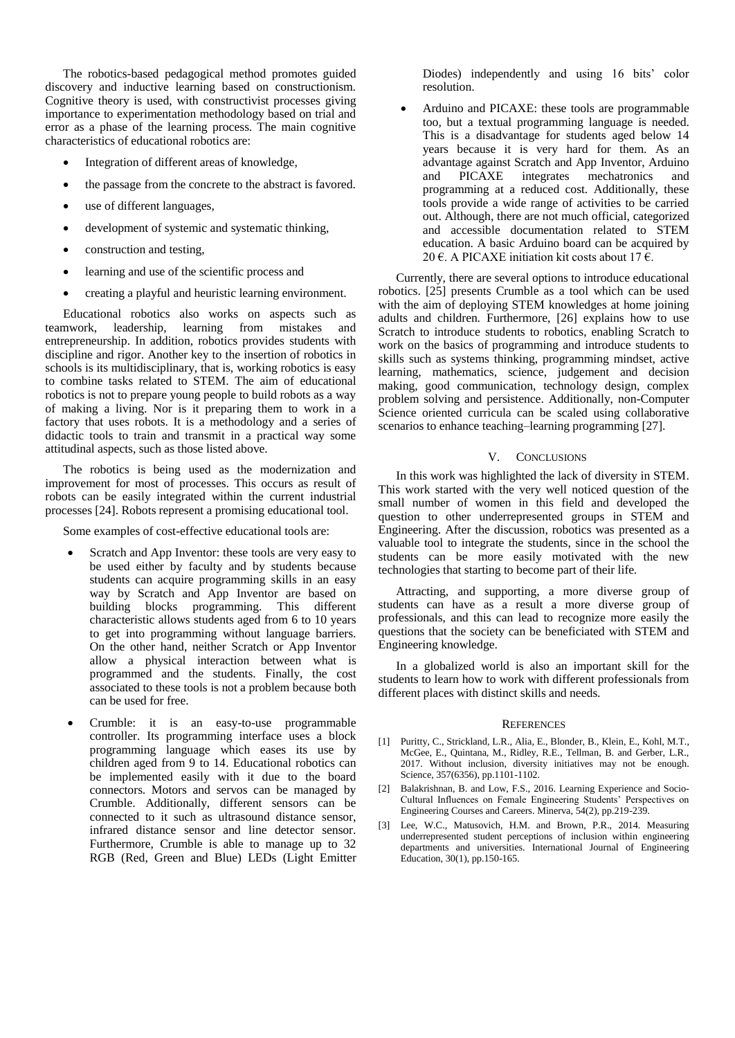The robotics-based pedagogical method promotes guided discovery and inductive learning based on constructionism. Cognitive theory is used, with constructivist processes giving importance to experimentation methodology based on trial and error as a phase of the learning process. The main cognitive characteristics of educational robotics are:

- Integration of different areas of knowledge,
- the passage from the concrete to the abstract is favored.
- use of different languages,
- development of systemic and systematic thinking,
- construction and testing,
- learning and use of the scientific process and
- creating a playful and heuristic learning environment.

Educational robotics also works on aspects such as teamwork, leadership, learning from mistakes and entrepreneurship. In addition, robotics provides students with discipline and rigor. Another key to the insertion of robotics in schools is its multidisciplinary, that is, working robotics is easy to combine tasks related to STEM. The aim of educational robotics is not to prepare young people to build robots as a way of making a living. Nor is it preparing them to work in a factory that uses robots. It is a methodology and a series of didactic tools to train and transmit in a practical way some attitudinal aspects, such as those listed above.

The robotics is being used as the modernization and improvement for most of processes. This occurs as result of robots can be easily integrated within the current industrial processes [24]. Robots represent a promising educational tool.

Some examples of cost-effective educational tools are:

- Scratch and App Inventor: these tools are very easy to be used either by faculty and by students because students can acquire programming skills in an easy way by Scratch and App Inventor are based on building blocks programming. This different characteristic allows students aged from 6 to 10 years to get into programming without language barriers. On the other hand, neither Scratch or App Inventor allow a physical interaction between what is programmed and the students. Finally, the cost associated to these tools is not a problem because both can be used for free.
- Crumble: it is an easy-to-use programmable controller. Its programming interface uses a block programming language which eases its use by children aged from 9 to 14. Educational robotics can be implemented easily with it due to the board connectors. Motors and servos can be managed by Crumble. Additionally, different sensors can be connected to it such as ultrasound distance sensor, infrared distance sensor and line detector sensor. Furthermore, Crumble is able to manage up to 32 RGB (Red, Green and Blue) LEDs (Light Emitter

Diodes) independently and using 16 bits' color resolution.

• Arduino and PICAXE: these tools are programmable too, but a textual programming language is needed. This is a disadvantage for students aged below 14 years because it is very hard for them. As an advantage against Scratch and App Inventor, Arduino and PICAXE integrates mechatronics and programming at a reduced cost. Additionally, these tools provide a wide range of activities to be carried out. Although, there are not much official, categorized and accessible documentation related to STEM education. A basic Arduino board can be acquired by 20 €. A PICAXE initiation kit costs about 17  $\hat{\epsilon}$ .

Currently, there are several options to introduce educational robotics. [25] presents Crumble as a tool which can be used with the aim of deploying STEM knowledges at home joining adults and children. Furthermore, [26] explains how to use Scratch to introduce students to robotics, enabling Scratch to work on the basics of programming and introduce students to skills such as systems thinking, programming mindset, active learning, mathematics, science, judgement and decision making, good communication, technology design, complex problem solving and persistence. Additionally, non-Computer Science oriented curricula can be scaled using collaborative scenarios to enhance teaching–learning programming [27].

# V. CONCLUSIONS

In this work was highlighted the lack of diversity in STEM. This work started with the very well noticed question of the small number of women in this field and developed the question to other underrepresented groups in STEM and Engineering. After the discussion, robotics was presented as a valuable tool to integrate the students, since in the school the students can be more easily motivated with the new technologies that starting to become part of their life.

Attracting, and supporting, a more diverse group of students can have as a result a more diverse group of professionals, and this can lead to recognize more easily the questions that the society can be beneficiated with STEM and Engineering knowledge.

In a globalized world is also an important skill for the students to learn how to work with different professionals from different places with distinct skills and needs.

#### **REFERENCES**

- [1] Puritty, C., Strickland, L.R., Alia, E., Blonder, B., Klein, E., Kohl, M.T., McGee, E., Quintana, M., Ridley, R.E., Tellman, B. and Gerber, L.R., 2017. Without inclusion, diversity initiatives may not be enough. Science, 357(6356), pp.1101-1102.
- [2] Balakrishnan, B. and Low, F.S., 2016. Learning Experience and Socio-Cultural Influences on Female Engineering Students' Perspectives on Engineering Courses and Careers. Minerva, 54(2), pp.219-239.
- [3] Lee, W.C., Matusovich, H.M. and Brown, P.R., 2014. Measuring underrepresented student perceptions of inclusion within engineering departments and universities. International Journal of Engineering Education, 30(1), pp.150-165.